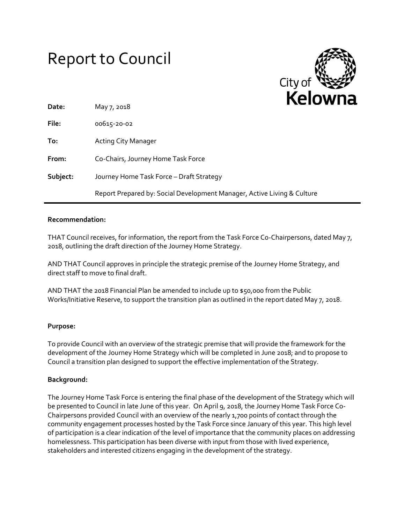# Report to Council



| Date:    | May 7, 2018                                                             | . |
|----------|-------------------------------------------------------------------------|---|
| File:    | 00615-20-02                                                             |   |
| To:      | <b>Acting City Manager</b>                                              |   |
| From:    | Co-Chairs, Journey Home Task Force                                      |   |
| Subject: | Journey Home Task Force - Draft Strategy                                |   |
|          | Report Prepared by: Social Development Manager, Active Living & Culture |   |

#### **Recommendation:**

THAT Council receives, for information, the report from the Task Force Co-Chairpersons, dated May 7, 2018, outlining the draft direction of the Journey Home Strategy.

AND THAT Council approves in principle the strategic premise of the Journey Home Strategy, and direct staff to move to final draft.

AND THAT the 2018 Financial Plan be amended to include up to \$50,000 from the Public Works/Initiative Reserve, to support the transition plan as outlined in the report dated May 7, 2018.

# **Purpose:**

To provide Council with an overview of the strategic premise that will provide the framework for the development of the Journey Home Strategy which will be completed in June 2018; and to propose to Council a transition plan designed to support the effective implementation of the Strategy.

#### **Background:**

The Journey Home Task Force is entering the final phase of the development of the Strategy which will be presented to Council in late June of this year. On April 9, 2018, the Journey Home Task Force Co-Chairpersons provided Council with an overview of the nearly 1,700 points of contact through the community engagement processes hosted by the Task Force since January of this year. This high level of participation is a clear indication of the level of importance that the community places on addressing homelessness. This participation has been diverse with input from those with lived experience, stakeholders and interested citizens engaging in the development of the strategy.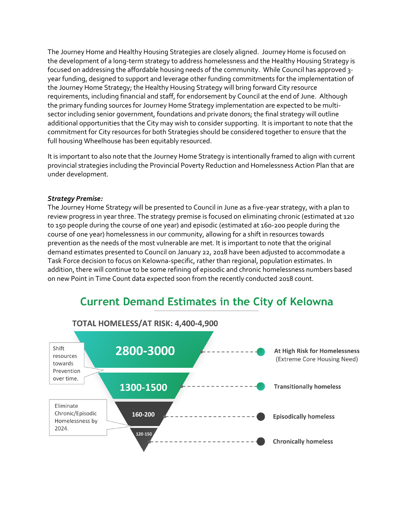The Journey Home and Healthy Housing Strategies are closely aligned. Journey Home is focused on the development of a long-term strategy to address homelessness and the Healthy Housing Strategy is focused on addressing the affordable housing needs of the community. While Council has approved 3 year funding, designed to support and leverage other funding commitments for the implementation of the Journey Home Strategy; the Healthy Housing Strategy will bring forward City resource requirements, including financial and staff, for endorsement by Council at the end of June. Although the primary funding sources for Journey Home Strategy implementation are expected to be multisector including senior government, foundations and private donors; the final strategy will outline additional opportunities that the City may wish to consider supporting. It is important to note that the commitment for City resources for both Strategies should be considered together to ensure that the full housing Wheelhouse has been equitably resourced.

It is important to also note that the Journey Home Strategy is intentionally framed to align with current provincial strategies including the Provincial Poverty Reduction and Homelessness Action Plan that are under development.

#### *Strategy Premise:*

The Journey Home Strategy will be presented to Council in June as a five-year strategy, with a plan to review progress in year three. The strategy premise is focused on eliminating chronic (estimated at 120 to 150 people during the course of one year) and episodic (estimated at 160-200 people during the course of one year) homelessness in our community, allowing for a shift in resources towards prevention as the needs of the most vulnerable are met. It is important to note that the original demand estimates presented to Council on January 22, 2018 have been adjusted to accommodate a Task Force decision to focus on Kelowna-specific, rather than regional, population estimates. In addition, there will continue to be some refining of episodic and chronic homelessness numbers based on new Point in Time Count data expected soon from the recently conducted 2018 count.

# **Current Demand Estimates in the City of Kelowna**

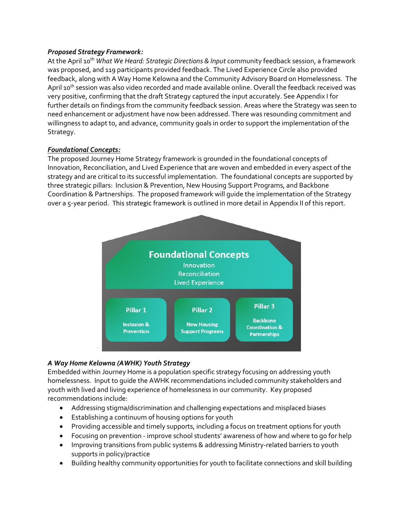# *Proposed Strategy Framework:*

At the April 10<sup>th</sup> *What We Heard: Strategic Directions & Input* community feedback session, a framework was proposed, and 119 participants provided feedback. The Lived Experience Circle also provided feedback, along with A Way Home Kelowna and the Community Advisory Board on Homelessness. The April 10<sup>th</sup> session was also video recorded and made available online. Overall the feedback received was very positive, confirming that the draft Strategy captured the input accurately. See Appendix I for further details on findings from the community feedback session. Areas where the Strategy was seen to need enhancement or adjustment have now been addressed. There was resounding commitment and willingness to adapt to, and advance, community goals in order to support the implementation of the Strategy.

#### *Foundational Concepts:*

The proposed Journey Home Strategy framework is grounded in the foundational concepts of Innovation, Reconciliation, and Lived Experience that are woven and embedded in every aspect of the strategy and are critical to its successful implementation. The foundational concepts are supported by three strategic pillars: Inclusion & Prevention, New Housing Support Programs, and Backbone Coordination & Partnerships. The proposed framework will guide the implementation of the Strategy over a 5-year period. This strategic framework is outlined in more detail in Appendix II of this report.



# *A Way Home Kelowna (AWHK) Youth Strategy*

Embedded within Journey Home is a population specific strategy focusing on addressing youth homelessness. Input to guide the AWHK recommendations included community stakeholders and youth with lived and living experience of homelessness in our community. Key proposed recommendations include:

- Addressing stigma/discrimination and challenging expectations and misplaced biases
- Establishing a continuum of housing options for youth
- Providing accessible and timely supports, including a focus on treatment options for youth
- Focusing on prevention improve school students' awareness of how and where to go for help
- Improving transitions from public systems & addressing Ministry-related barriers to youth supports in policy/practice
- Building healthy community opportunities for youth to facilitate connections and skill building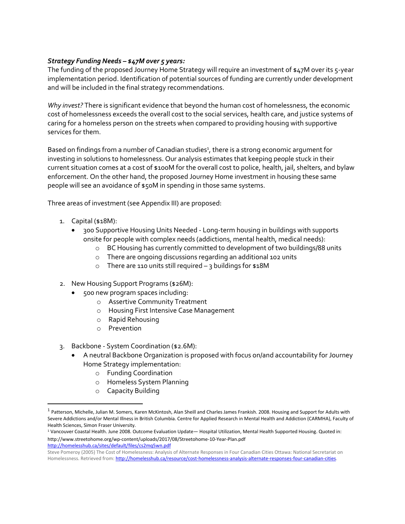# *Strategy Funding Needs – \$47M over 5 years:*

The funding of the proposed Journey Home Strategy will require an investment of \$47M over its 5-year implementation period. Identification of potential sources of funding are currently under development and will be included in the final strategy recommendations.

*Why invest?* There is significant evidence that beyond the human cost of homelessness, the economic cost of homelessness exceeds the overall cost to the social services, health care, and justice systems of caring for a homeless person on the streets when compared to providing housing with supportive services for them.

Based on findings from a number of Canadian studies<sup>1</sup>, there is a strong economic argument for investing in solutions to homelessness. Our analysis estimates that keeping people stuck in their current situation comes at a cost of \$100M for the overall cost to police, health, jail, shelters, and bylaw enforcement. On the other hand, the proposed Journey Home investment in housing these same people will see an avoidance of \$50M in spending in those same systems.

Three areas of investment (see Appendix III) are proposed:

- 1. Capital (\$18M):
	- 300 Supportive Housing Units Needed Long-term housing in buildings with supports onsite for people with complex needs (addictions, mental health, medical needs):
		- o BC Housing has currently committed to development of two buildings/88 units
		- o There are ongoing discussions regarding an additional 102 units
		- o There are 110 units still required 3 buildings for \$18M
- 2. New Housing Support Programs (\$26M):
	- 500 new program spaces including:
		- o Assertive Community Treatment
		- o Housing First Intensive Case Management
		- o Rapid Rehousing
		- o Prevention
- 3. Backbone System Coordination (\$2.6M):
	- A neutral Backbone Organization is proposed with focus on/and accountability for Journey Home Strategy implementation:
		- o Funding Coordination
		- o Homeless System Planning
		- o Capacity Building

<http://homelesshub.ca/sites/default/files/cs2mq5wn.pdf>

 $\overline{a}$ 

<sup>&</sup>lt;sup>1</sup> Patterson, Michelle, Julian M. Somers, Karen McKintosh, Alan Sheill and Charles James Frankish. 2008. Housing and Support for Adults with Severe Addictions and/or Mental Illness in British Columbia. Centre for Applied Research in Mental Health and Addiction (CARMHA), Faculty of Health Sciences, Simon Fraser University.

<sup>1</sup> Vancouver Coastal Health. June 2008. Outcome Evaluation Update— Hospital Utilization, Mental Health Supported Housing. Quoted in: <http://www.streetohome.org/wp-content/uploads/2017/08/Streetohome-10-Year-Plan.pdf>

Steve Pomeroy (2005) The Cost of Homelessness: Analysis of Alternate Responses in Four Canadian Cities Ottawa: National Secretariat on Homelessness. Retrieved from[: http://homelesshub.ca/resource/cost-homelessness-analysis-alternate-responses-four-canadian-cities.](http://homelesshub.ca/resource/cost-homelessness-analysis-alternate-responses-four-canadian-cities)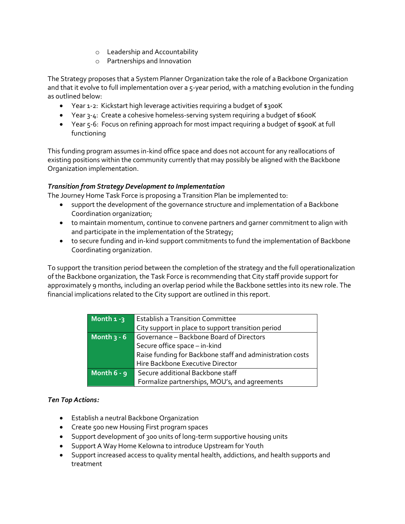- o Leadership and Accountability
- o Partnerships and Innovation

The Strategy proposes that a System Planner Organization take the role of a Backbone Organization and that it evolve to full implementation over a 5-year period, with a matching evolution in the funding as outlined below:

- Year 1-2: Kickstart high leverage activities requiring a budget of \$300K
- Year 3-4: Create a cohesive homeless-serving system requiring a budget of \$600K
- Year 5-6: Focus on refining approach for most impact requiring a budget of \$900K at full functioning

This funding program assumes in-kind office space and does not account for any reallocations of existing positions within the community currently that may possibly be aligned with the Backbone Organization implementation.

# *Transition from Strategy Development to Implementation*

The Journey Home Task Force is proposing a Transition Plan be implemented to:

- support the development of the governance structure and implementation of a Backbone Coordination organization;
- to maintain momentum, continue to convene partners and garner commitment to align with and participate in the implementation of the Strategy;
- to secure funding and in-kind support commitments to fund the implementation of Backbone Coordinating organization.

To support the transition period between the completion of the strategy and the full operationalization of the Backbone organization, the Task Force is recommending that City staff provide support for approximately 9 months, including an overlap period while the Backbone settles into its new role. The financial implications related to the City support are outlined in this report.

| Month $1 - 3$ | <b>Establish a Transition Committee</b>                   |  |
|---------------|-----------------------------------------------------------|--|
|               | City support in place to support transition period        |  |
| Month $3 - 6$ | Governance - Backbone Board of Directors                  |  |
|               | Secure office space - in-kind                             |  |
|               | Raise funding for Backbone staff and administration costs |  |
|               | Hire Backbone Executive Director                          |  |
| Month $6 - 9$ | Secure additional Backbone staff                          |  |
|               | Formalize partnerships, MOU's, and agreements             |  |

# *Ten Top Actions:*

- Establish a neutral Backbone Organization
- Create 500 new Housing First program spaces
- Support development of 300 units of long-term supportive housing units
- Support A Way Home Kelowna to introduce Upstream for Youth
- Support increased access to quality mental health, addictions, and health supports and treatment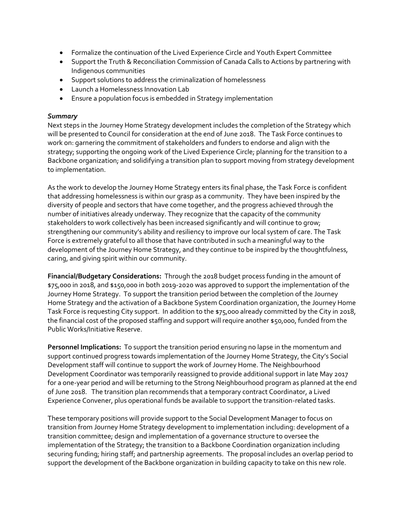- Formalize the continuation of the Lived Experience Circle and Youth Expert Committee
- Support the Truth & Reconciliation Commission of Canada Calls to Actions by partnering with Indigenous communities
- Support solutions to address the criminalization of homelessness
- Launch a Homelessness Innovation Lab
- Ensure a population focus is embedded in Strategy implementation

# *Summary*

Next steps in the Journey Home Strategy development includes the completion of the Strategy which will be presented to Council for consideration at the end of June 2018. The Task Force continues to work on: garnering the commitment of stakeholders and funders to endorse and align with the strategy; supporting the ongoing work of the Lived Experience Circle; planning for the transition to a Backbone organization; and solidifying a transition plan to support moving from strategy development to implementation.

As the work to develop the Journey Home Strategy enters its final phase, the Task Force is confident that addressing homelessness is within our grasp as a community. They have been inspired by the diversity of people and sectors that have come together, and the progress achieved through the number of initiatives already underway. They recognize that the capacity of the community stakeholders to work collectively has been increased significantly and will continue to grow; strengthening our community's ability and resiliency to improve our local system of care. The Task Force is extremely grateful to all those that have contributed in such a meaningful way to the development of the Journey Home Strategy, and they continue to be inspired by the thoughtfulness, caring, and giving spirit within our community.

**Financial/Budgetary Considerations:** Through the 2018 budget process funding in the amount of \$75,000 in 2018, and \$150,000 in both 2019-2020 was approved to support the implementation of the Journey Home Strategy. To support the transition period between the completion of the Journey Home Strategy and the activation of a Backbone System Coordination organization, the Journey Home Task Force is requesting City support. In addition to the \$75,000 already committed by the City in 2018, the financial cost of the proposed staffing and support will require another \$50,000, funded from the Public Works/Initiative Reserve.

**Personnel Implications:** To support the transition period ensuring no lapse in the momentum and support continued progress towards implementation of the Journey Home Strategy, the City's Social Development staff will continue to support the work of Journey Home. The Neighbourhood Development Coordinator was temporarily reassigned to provide additional support in late May 2017 for a one-year period and will be returning to the Strong Neighbourhood program as planned at the end of June 2018. The transition plan recommends that a temporary contract Coordinator, a Lived Experience Convener, plus operational funds be available to support the transition-related tasks.

These temporary positions will provide support to the Social Development Manager to focus on transition from Journey Home Strategy development to implementation including: development of a transition committee; design and implementation of a governance structure to oversee the implementation of the Strategy; the transition to a Backbone Coordination organization including securing funding; hiring staff; and partnership agreements. The proposal includes an overlap period to support the development of the Backbone organization in building capacity to take on this new role.